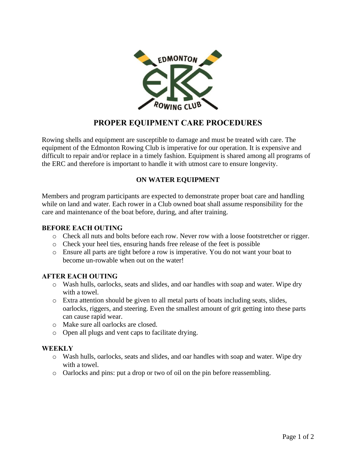

# **PROPER EQUIPMENT CARE PROCEDURES**

Rowing shells and equipment are susceptible to damage and must be treated with care. The equipment of the Edmonton Rowing Club is imperative for our operation. It is expensive and difficult to repair and/or replace in a timely fashion. Equipment is shared among all programs of the ERC and therefore is important to handle it with utmost care to ensure longevity.

## **ON WATER EQUIPMENT**

Members and program participants are expected to demonstrate proper boat care and handling while on land and water. Each rower in a Club owned boat shall assume responsibility for the care and maintenance of the boat before, during, and after training.

#### **BEFORE EACH OUTING**

- o Check all nuts and bolts before each row. Never row with a loose footstretcher or rigger.
- o Check your heel ties, ensuring hands free release of the feet is possible
- o Ensure all parts are tight before a row is imperative. You do not want your boat to become un-rowable when out on the water!

## **AFTER EACH OUTING**

- o Wash hulls, oarlocks, seats and slides, and oar handles with soap and water. Wipe dry with a towel.
- o Extra attention should be given to all metal parts of boats including seats, slides, oarlocks, riggers, and steering. Even the smallest amount of grit getting into these parts can cause rapid wear.
- o Make sure all oarlocks are closed.
- o Open all plugs and vent caps to facilitate drying.

## **WEEKLY**

- o Wash hulls, oarlocks, seats and slides, and oar handles with soap and water. Wipe dry with a towel.
- o Oarlocks and pins: put a drop or two of oil on the pin before reassembling.